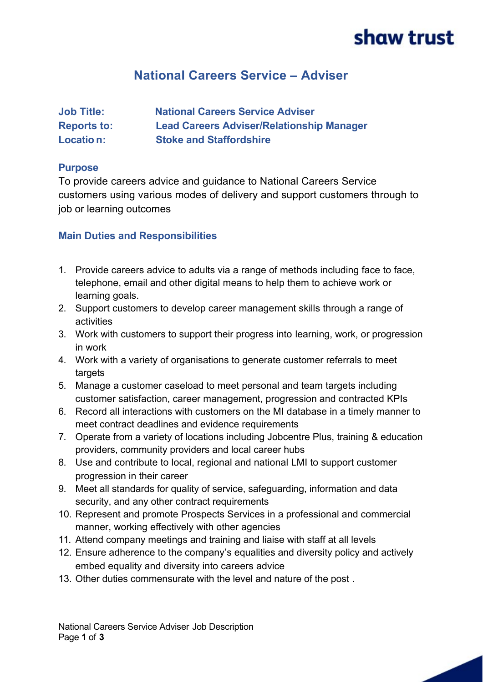# shaw trust

# **National Careers Service – Adviser**

| <b>Job Title:</b>  | <b>National Careers Service Adviser</b>          |
|--------------------|--------------------------------------------------|
| <b>Reports to:</b> | <b>Lead Careers Adviser/Relationship Manager</b> |
| Locatio n:         | <b>Stoke and Staffordshire</b>                   |

#### **Purpose**

To provide careers advice and guidance to National Careers Service customers using various modes of delivery and support customers through to job or learning outcomes

### **Main Duties and Responsibilities**

- 1. Provide careers advice to adults via a range of methods including face to face, telephone, email and other digital means to help them to achieve work or learning goals.
- 2. Support customers to develop career management skills through a range of activities
- 3. Work with customers to support their progress into learning, work, or progression in work
- 4. Work with a variety of organisations to generate customer referrals to meet targets
- 5. Manage a customer caseload to meet personal and team targets including customer satisfaction, career management, progression and contracted KPIs
- 6. Record all interactions with customers on the MI database in a timely manner to meet contract deadlines and evidence requirements
- 7. Operate from a variety of locations including Jobcentre Plus, training & education providers, community providers and local career hubs
- 8. Use and contribute to local, regional and national LMI to support customer progression in their career
- 9. Meet all standards for quality of service, safeguarding, information and data security, and any other contract requirements
- 10. Represent and promote Prospects Services in a professional and commercial manner, working effectively with other agencies
- 11. Attend company meetings and training and liaise with staff at all levels
- 12. Ensure adherence to the company's equalities and diversity policy and actively embed equality and diversity into careers advice
- 13. Other duties commensurate with the level and nature of the post .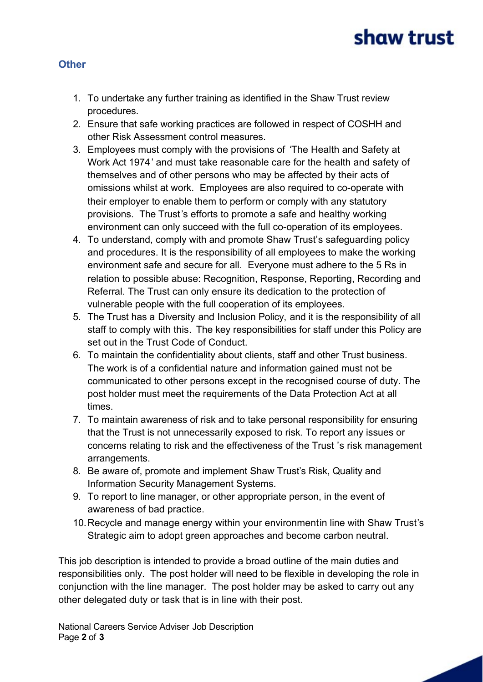# shaw trust

### **Other**

- 1. To undertake any further training as identified in the Shaw Trust review procedures.
- 2. Ensure that safe working practices are followed in respect of COSHH and other Risk Assessment control measures.
- 3. Employees must comply with the provisions of 'The Health and Safety at Work Act 1974' and must take reasonable care for the health and safety of themselves and of other persons who may be affected by their acts of omissions whilst at work. Employees are also required to co-operate with their employer to enable them to perform or comply with any statutory provisions. The Trust's efforts to promote a safe and healthy working environment can only succeed with the full co-operation of its employees.
- 4. To understand, comply with and promote Shaw Trust's safeguarding policy and procedures. It is the responsibility of all employees to make the working environment safe and secure for all. Everyone must adhere to the 5 Rs in relation to possible abuse: Recognition, Response, Reporting, Recording and Referral. The Trust can only ensure its dedication to the protection of vulnerable people with the full cooperation of its employees.
- 5. The Trust has a Diversity and Inclusion Policy, and it is the responsibility of all staff to comply with this. The key responsibilities for staff under this Policy are set out in the Trust Code of Conduct.
- 6. To maintain the confidentiality about clients, staff and other Trust business. The work is of a confidential nature and information gained must not be communicated to other persons except in the recognised course of duty. The post holder must meet the requirements of the Data Protection Act at all times.
- 7. To maintain awareness of risk and to take personal responsibility for ensuring that the Trust is not unnecessarily exposed to risk. To report any issues or concerns relating to risk and the effectiveness of the Trust 's risk management arrangements.
- 8. Be aware of, promote and implement Shaw Trust's Risk, Quality and Information Security Management Systems.
- 9. To report to line manager, or other appropriate person, in the event of awareness of bad practice.
- 10. Recycle and manage energy within your environmentin line with Shaw Trust's Strategic aim to adopt green approaches and become carbon neutral.

This job description is intended to provide a broad outline of the main duties and responsibilities only. The post holder will need to be flexible in developing the role in conjunction with the line manager. The post holder may be asked to carry out any other delegated duty or task that is in line with their post.